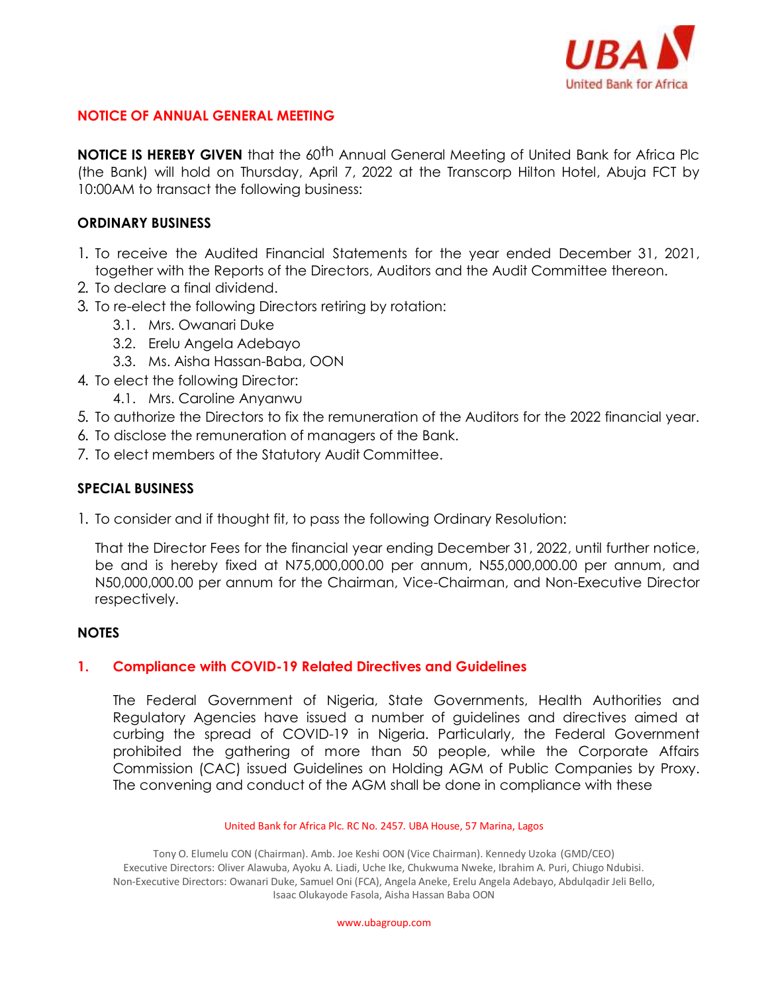

# **NOTICE OF ANNUAL GENERAL MEETING**

**NOTICE IS HEREBY GIVEN** that the 60<sup>th</sup> Annual General Meeting of United Bank for Africa Plc (the Bank) will hold on Thursday, April 7, 2022 at the Transcorp Hilton Hotel, Abuja FCT by 10:00AM to transact the following business:

### **ORDINARY BUSINESS**

- 1. To receive the Audited Financial Statements for the year ended December 31, 2021, together with the Reports of the Directors, Auditors and the Audit Committee thereon.
- 2. To declare a final dividend.
- 3. To re-elect the following Directors retiring by rotation:
	- 3.1. Mrs. Owanari Duke
	- 3.2. Erelu Angela Adebayo
	- 3.3. Ms. Aisha Hassan-Baba, OON
- 4. To elect the following Director:
	- 4.1. Mrs. Caroline Anyanwu
- 5. To authorize the Directors to fix the remuneration of the Auditors for the 2022 financial year.
- 6. To disclose the remuneration of managers of the Bank.
- 7. To elect members of the Statutory Audit Committee.

## **SPECIAL BUSINESS**

1. To consider and if thought fit, to pass the following Ordinary Resolution:

That the Director Fees for the financial year ending December 31, 2022, until further notice, be and is hereby fixed at N75,000,000.00 per annum, N55,000,000.00 per annum, and N50,000,000.00 per annum for the Chairman, Vice-Chairman, and Non-Executive Director respectively.

### **NOTES**

### **1. Compliance with COVID-19 Related Directives and Guidelines**

The Federal Government of Nigeria, State Governments, Health Authorities and Regulatory Agencies have issued a number of guidelines and directives aimed at curbing the spread of COVID-19 in Nigeria. Particularly, the Federal Government prohibited the gathering of more than 50 people, while the Corporate Affairs Commission (CAC) issued Guidelines on Holding AGM of Public Companies by Proxy. The convening and conduct of the AGM shall be done in compliance with these

#### United Bank for Africa Plc. RC No. 2457. UBA House, 57 Marina, Lagos

Tony O. Elumelu CON (Chairman). Amb. Joe Keshi OON (Vice Chairman). Kennedy Uzoka (GMD/CEO) Executive Directors: Oliver Alawuba, Ayoku A. Liadi, Uche Ike, Chukwuma Nweke, Ibrahim A. Puri, Chiugo Ndubisi. Non-Executive Directors: Owanari Duke, Samuel Oni (FCA), Angela Aneke, Erelu Angela Adebayo, Abdulqadir Jeli Bello, Isaac Olukayode Fasola, Aisha Hassan Baba OON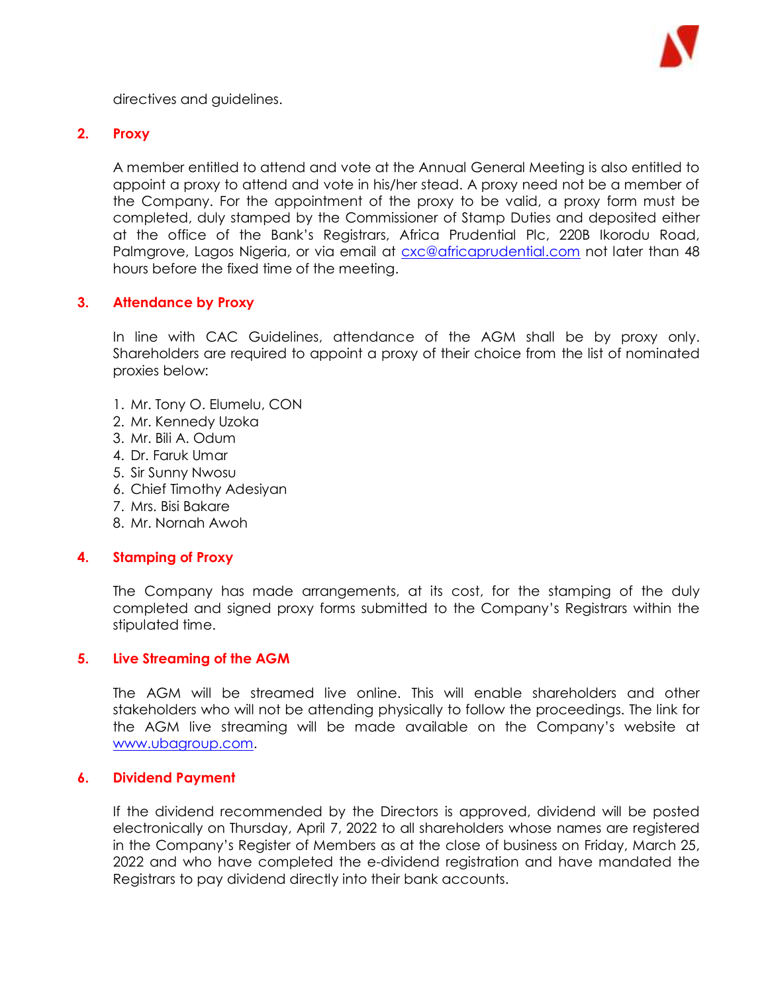

directives and guidelines.

# **2. Proxy**

A member entitled to attend and vote at the Annual General Meeting is also entitled to appoint a proxy to attend and vote in his/her stead. A proxy need not be a member of the Company. For the appointment of the proxy to be valid, a proxy form must be completed, duly stamped by the Commissioner of Stamp Duties and deposited either at the office of the Bank's Registrars, Africa Prudential Plc, 220B Ikorodu Road, Palmgrove, Lagos Nigeria, or via email at *cxc@africaprudential.com not later than 48* hours before the fixed time of the meeting.

# **3. Attendance by Proxy**

In line with CAC Guidelines, attendance of the AGM shall be by proxy only. Shareholders are required to appoint a proxy of their choice from the list of nominated proxies below:

- 1. Mr. Tony O. Elumelu, CON
- 2. Mr. Kennedy Uzoka
- 3. Mr. Bili A. Odum
- 4. Dr. Faruk Umar
- 5. Sir Sunny Nwosu
- 6. Chief Timothy Adesiyan
- 7. Mrs. Bisi Bakare
- 8. Mr. Nornah Awoh

### **4. Stamping of Proxy**

The Company has made arrangements, at its cost, for the stamping of the duly completed and signed proxy forms submitted to the Company's Registrars within the stipulated time.

### **5. Live Streaming of the AGM**

The AGM will be streamed live online. This will enable shareholders and other stakeholders who will not be attending physically to follow the proceedings. The link for the AGM live streaming will be made available on the Company's website at [www.ubagroup.com.](http://www.ubagroup.com/)

#### **6. Dividend Payment**

If the dividend recommended by the Directors is approved, dividend will be posted electronically on Thursday, April 7, 2022 to all shareholders whose names are registered in the Company's Register of Members as at the close of business on Friday, March 25, 2022 and who have completed the e-dividend registration and have mandated the Registrars to pay dividend directly into their bank accounts.